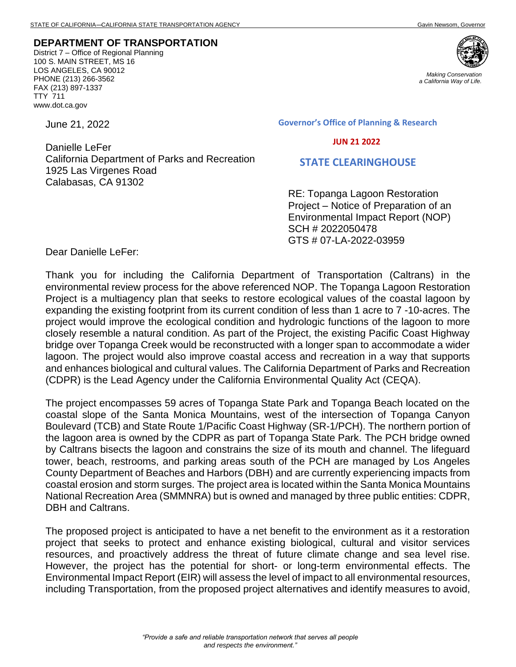## **DEPARTMENT OF TRANSPORTATION**

District 7 – Office of Regional Planning 100 S. MAIN STREET, MS 16 LOS ANGELES, CA 90012 PHONE (213) 266-3562 FAX (213) 897-1337 TTY 711 www.dot.ca.gov

June 21, 2022

Danielle LeFer California Department of Parks and Recreation 1925 Las Virgenes Road Calabasas, CA 91302

**Governor's Office of Planning & Research**

 **JUN 21 2022**

## **STATE CLEARINGHOUSE**

RE: Topanga Lagoon Restoration Project – Notice of Preparation of an Environmental Impact Report (NOP) SCH # 2022050478 GTS # 07-LA-2022-03959

Dear Danielle LeFer:

Thank you for including the California Department of Transportation (Caltrans) in the environmental review process for the above referenced NOP. The Topanga Lagoon Restoration Project is a multiagency plan that seeks to restore ecological values of the coastal lagoon by expanding the existing footprint from its current condition of less than 1 acre to 7 -10-acres. The project would improve the ecological condition and hydrologic functions of the lagoon to more closely resemble a natural condition. As part of the Project, the existing Pacific Coast Highway bridge over Topanga Creek would be reconstructed with a longer span to accommodate a wider lagoon. The project would also improve coastal access and recreation in a way that supports and enhances biological and cultural values. The California Department of Parks and Recreation (CDPR) is the Lead Agency under the California Environmental Quality Act (CEQA).

The project encompasses 59 acres of Topanga State Park and Topanga Beach located on the coastal slope of the Santa Monica Mountains, west of the intersection of Topanga Canyon Boulevard (TCB) and State Route 1/Pacific Coast Highway (SR-1/PCH). The northern portion of the lagoon area is owned by the CDPR as part of Topanga State Park. The PCH bridge owned by Caltrans bisects the lagoon and constrains the size of its mouth and channel. The lifeguard tower, beach, restrooms, and parking areas south of the PCH are managed by Los Angeles County Department of Beaches and Harbors (DBH) and are currently experiencing impacts from coastal erosion and storm surges. The project area is located within the Santa Monica Mountains National Recreation Area (SMMNRA) but is owned and managed by three public entities: CDPR, DBH and Caltrans.

The proposed project is anticipated to have a net benefit to the environment as it a restoration project that seeks to protect and enhance existing biological, cultural and visitor services resources, and proactively address the threat of future climate change and sea level rise. However, the project has the potential for short- or long-term environmental effects. The Environmental Impact Report (EIR) will assess the level of impact to all environmental resources, including Transportation, from the proposed project alternatives and identify measures to avoid,



*Making Conservation a California Way of Life.*